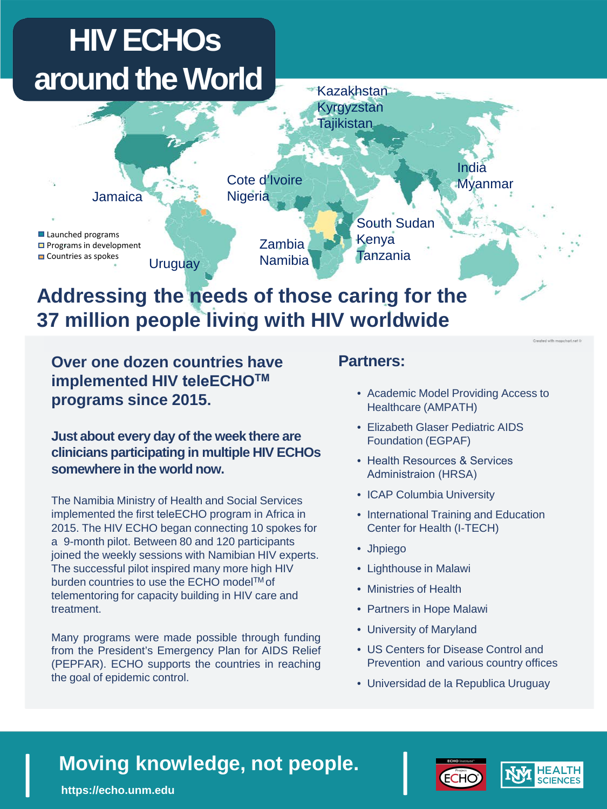### **HIV ECHOs around the World**



### **Addressing the needs of those caring for the 37 million people living with HIV worldwide**

**Over one dozen countries have implemented HIV teleECHOTM programs since 2015.**

**Just about every day of the week there are clinicians participating in multiple HIV ECHOs somewhere in the world now.**

The Namibia Ministry of Health and Social Services implemented the first teleECHO program in Africa in 2015. The HIV ECHO began connecting 10 spokes for a 9-month pilot. Between 80 and 120 participants joined the weekly sessions with Namibian HIV experts. The successful pilot inspired many more high HIV burden countries to use the ECHO model<sup>TM</sup> of telementoring for capacity building in HIV care and treatment.

Many programs were made possible through funding from the President's Emergency Plan for AIDS Relief (PEPFAR). ECHO supports the countries in reaching the goal of epidemic control.

#### **Partners:**

- Academic Model Providing Access to Healthcare (AMPATH)
- Elizabeth Glaser Pediatric AIDS Foundation (EGPAF)
- Health Resources & Services Administraion (HRSA)
- ICAP Columbia University
- International Training and Education Center for Health (I-TECH)
- Jhpiego
- Lighthouse in Malawi
- Ministries of Health
- Partners in Hope Malawi
- University of Maryland
- US Centers for Disease Control and Prevention and various country offices
- Universidad de la Republica Uruguay

## **Moving knowledge, not people.**<br>https://echo.unm.edu